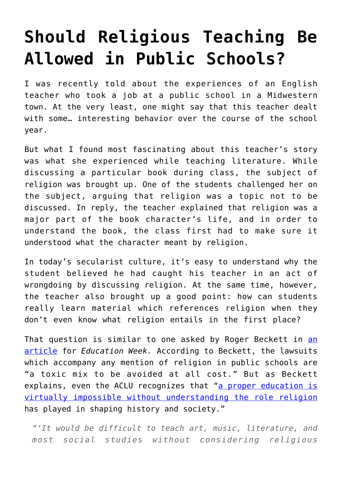## **[Should Religious Teaching Be](https://intellectualtakeout.org/2017/07/should-religious-teaching-be-allowed-in-public-schools/) [Allowed in Public Schools?](https://intellectualtakeout.org/2017/07/should-religious-teaching-be-allowed-in-public-schools/)**

I was recently told about the experiences of an English teacher who took a job at a public school in a Midwestern town. At the very least, one might say that this teacher dealt with some… interesting behavior over the course of the school year.

But what I found most fascinating about this teacher's story was what she experienced while teaching literature. While discussing a particular book during class, the subject of religion was brought up. One of the students challenged her on the subject, arguing that religion was a topic not to be discussed. In reply, the teacher explained that religion was a major part of the book character's life, and in order to understand the book, the class first had to make sure it understood what the character meant by religion.

In today's secularist culture, it's easy to understand why the student believed he had caught his teacher in an act of wrongdoing by discussing religion. At the same time, however, the teacher also brought up a good point: how can students really learn material which references religion when they don't even know what religion entails in the first place?

That question is similar to one asked by Roger Beckett in [an](http://www.edweek.org/ew/articles/2017/07/07/why-religion-belongs-in-the-classroom.html?utm_source=fb&utm_medium=rss&utm_campaign=mrss&cmp=RSS-FEED) [article](http://www.edweek.org/ew/articles/2017/07/07/why-religion-belongs-in-the-classroom.html?utm_source=fb&utm_medium=rss&utm_campaign=mrss&cmp=RSS-FEED) for *Education Week.* According to Beckett, the lawsuits which accompany any mention of religion in public schools are "a toxic mix to be avoided at all cost." But as Beckett explains, even the ACLU recognizes that "[a proper education is](https://www.aclu.org/other/joint-statement-current-law-religion-public-schools) [virtually impossible without understanding the role religion](https://www.aclu.org/other/joint-statement-current-law-religion-public-schools) has played in shaping history and society."

*"'It would be difficult to teach art, music, literature, and most social studies without considering religious*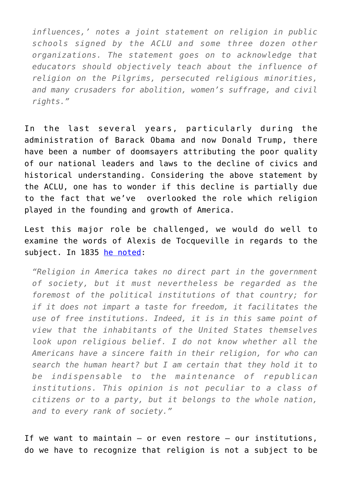*influences,' notes a joint statement on religion in public schools signed by the ACLU and some three dozen other organizations. The statement goes on to acknowledge that educators should objectively teach about the influence of religion on the Pilgrims, persecuted religious minorities, and many crusaders for abolition, women's suffrage, and civil rights."*

In the last several years, particularly during the administration of Barack Obama and now Donald Trump, there have been a number of doomsayers attributing the poor quality of our national leaders and laws to the decline of civics and historical understanding. Considering the above statement by the ACLU, one has to wonder if this decline is partially due to the fact that we've overlooked the role which religion played in the founding and growth of America.

Lest this major role be challenged, we would do well to examine the words of Alexis de Tocqueville in regards to the subject. In 1835 [he noted:](https://www.gutenberg.org/files/815/815-h/815-h.htm)

*"Religion in America takes no direct part in the government of society, but it must nevertheless be regarded as the foremost of the political institutions of that country; for if it does not impart a taste for freedom, it facilitates the use of free institutions. Indeed, it is in this same point of view that the inhabitants of the United States themselves look upon religious belief. I do not know whether all the Americans have a sincere faith in their religion, for who can search the human heart? but I am certain that they hold it to be indispensable to the maintenance of republican institutions. This opinion is not peculiar to a class of citizens or to a party, but it belongs to the whole nation, and to every rank of society."*

If we want to maintain – or even restore – our institutions, do we have to recognize that religion is not a subject to be